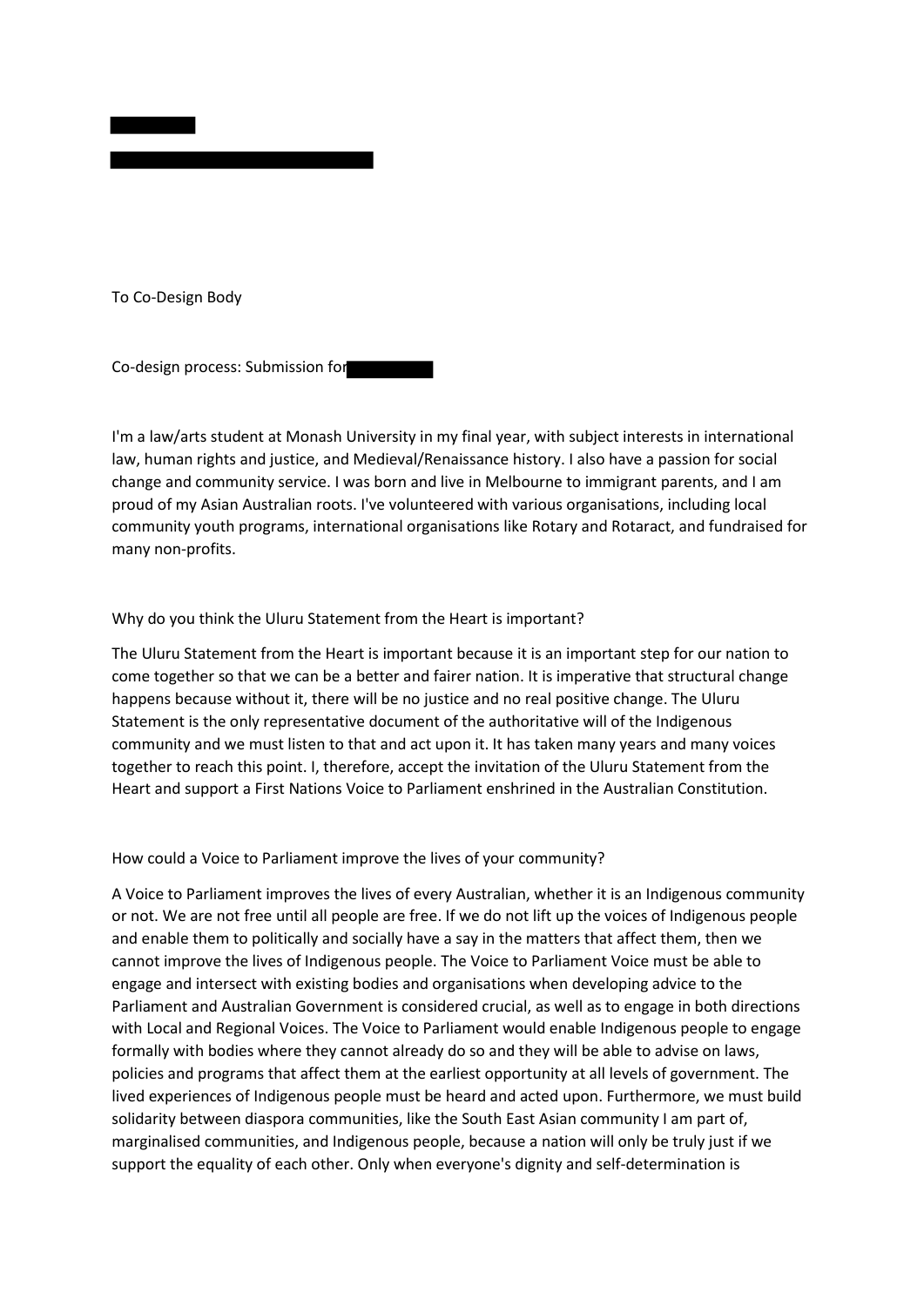

To Co-Design Body

Co-design process: Submission for

I'm a law/arts student at Monash University in my final year, with subject interests in international law, human rights and justice, and Medieval/Renaissance history. I also have a passion for social change and community service. I was born and live in Melbourne to immigrant parents, and I am proud of my Asian Australian roots. I've volunteered with various organisations, including local community youth programs, international organisations like Rotary and Rotaract, and fundraised for many non-profits.

## Why do you think the Uluru Statement from the Heart is important?

The Uluru Statement from the Heart is important because it is an important step for our nation to come together so that we can be a better and fairer nation. It is imperative that structural change happens because without it, there will be no justice and no real positive change. The Uluru Statement is the only representative document of the authoritative will of the Indigenous community and we must listen to that and act upon it. It has taken many years and many voices together to reach this point. I, therefore, accept the invitation of the Uluru Statement from the Heart and support a First Nations Voice to Parliament enshrined in the Australian Constitution.

## How could a Voice to Parliament improve the lives of your community?

A Voice to Parliament improves the lives of every Australian, whether it is an Indigenous community or not. We are not free until all people are free. If we do not lift up the voices of Indigenous people and enable them to politically and socially have a say in the matters that affect them, then we cannot improve the lives of Indigenous people. The Voice to Parliament Voice must be able to engage and intersect with existing bodies and organisations when developing advice to the Parliament and Australian Government is considered crucial, as well as to engage in both directions with Local and Regional Voices. The Voice to Parliament would enable Indigenous people to engage formally with bodies where they cannot already do so and they will be able to advise on laws, policies and programs that affect them at the earliest opportunity at all levels of government. The lived experiences of Indigenous people must be heard and acted upon. Furthermore, we must build solidarity between diaspora communities, like the South East Asian community I am part of, marginalised communities, and Indigenous people, because a nation will only be truly just if we support the equality of each other. Only when everyone's dignity and self-determination is